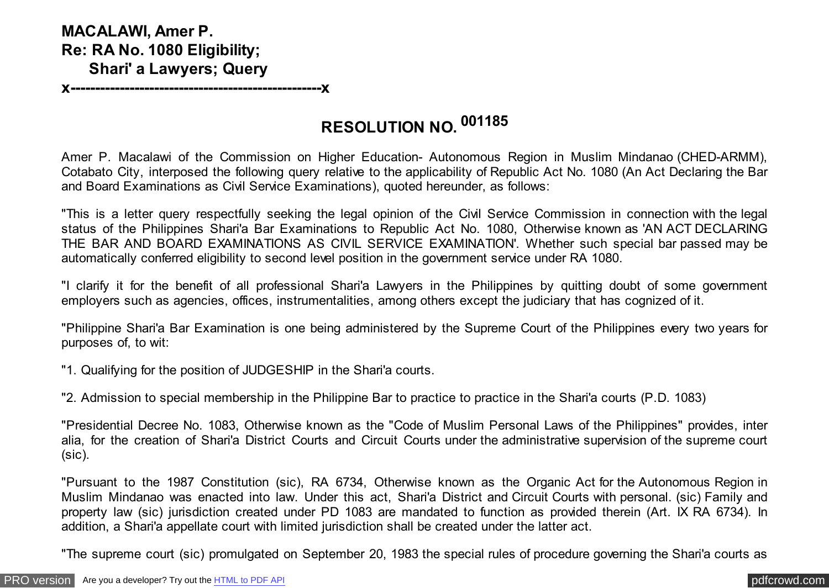## **MACALAWI, Amer P. Re: RA No. 1080 Eligibility; Shari' a Lawyers; Query**

**x---------------------------------------------------x**

## **RESOLUTION NO. <sup>001185</sup>**

Amer P. Macalawi of the Commission on Higher Education- Autonomous Region in Muslim Mindanao (CHED-ARMM), Cotabato City, interposed the following query relative to the applicability of Republic Act No. 1080 (An Act Declaring the Bar and Board Examinations as Civil Service Examinations), quoted hereunder, as follows:

"This is a letter query respectfully seeking the legal opinion of the Civil Service Commission in connection with the legal status of the Philippines Shari'a Bar Examinations to Republic Act No. 1080, Otherwise known as 'AN ACT DECLARING THE BAR AND BOARD EXAMINATIONS AS CIVIL SERVICE EXAMINATION'. Whether such special bar passed may be automatically conferred eligibility to second level position in the government service under RA 1080.

"I clarify it for the benefit of all professional Shari'a Lawyers in the Philippines by quitting doubt of some government employers such as agencies, offices, instrumentalities, among others except the judiciary that has cognized of it.

"Philippine Shari'a Bar Examination is one being administered by the Supreme Court of the Philippines every two years for purposes of, to wit:

"1. Qualifying for the position of JUDGESHIP in the Shari'a courts.

"2. Admission to special membership in the Philippine Bar to practice to practice in the Shari'a courts (P.D. 1083)

"Presidential Decree No. 1083, Otherwise known as the "Code of Muslim Personal Laws of the Philippines" provides, inter alia, for the creation of Shari'a District Courts and Circuit Courts under the administrative supervision of the supreme court (sic).

"Pursuant to the 1987 Constitution (sic), RA 6734, Otherwise known as the Organic Act for the Autonomous Region in Muslim Mindanao was enacted into law. Under this act, Shari'a District and Circuit Courts with personal. (sic) Family and property law (sic) jurisdiction created under PD 1083 are mandated to function as provided therein (Art. IX RA 6734). In addition, a Shari'a appellate court with limited jurisdiction shall be created under the latter act.

"The supreme court (sic) promulgated on September 20, 1983 the special rules of procedure governing the Shari'a courts as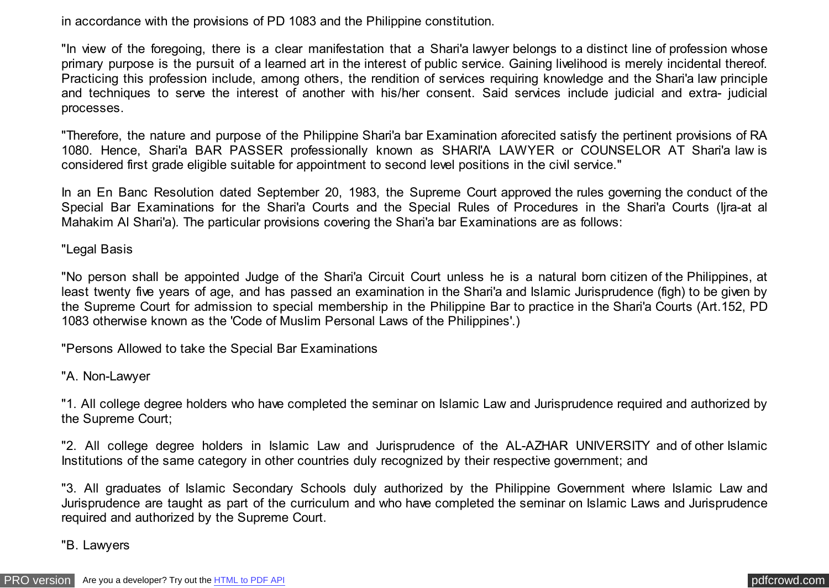in accordance with the provisions of PD 1083 and the Philippine constitution.

"In view of the foregoing, there is a clear manifestation that a Shari'a lawyer belongs to a distinct line of profession whose primary purpose is the pursuit of a learned art in the interest of public service. Gaining livelihood is merely incidental thereof. Practicing this profession include, among others, the rendition of services requiring knowledge and the Shari'a law principle and techniques to serve the interest of another with his/her consent. Said services include judicial and extra- judicial processes.

"Therefore, the nature and purpose of the Philippine Shari'a bar Examination aforecited satisfy the pertinent provisions of RA 1080. Hence, Shari'a BAR PASSER professionally known as SHARI'A LAWYER or COUNSELOR AT Shari'a law is considered first grade eligible suitable for appointment to second level positions in the civil service."

In an En Banc Resolution dated September 20, 1983, the Supreme Court approved the rules governing the conduct of the Special Bar Examinations for the Shari'a Courts and the Special Rules of Procedures in the Shari'a Courts (Ijra-at al Mahakim Al Shari'a). The particular provisions covering the Shari'a bar Examinations are as follows:

"Legal Basis

"No person shall be appointed Judge of the Shari'a Circuit Court unless he is a natural born citizen of the Philippines, at least twenty five years of age, and has passed an examination in the Shari'a and Islamic Jurisprudence (figh) to be given by the Supreme Court for admission to special membership in the Philippine Bar to practice in the Shari'a Courts (Art.152, PD 1083 otherwise known as the 'Code of Muslim Personal Laws of the Philippines'.)

"Persons Allowed to take the Special Bar Examinations

"A. Non-Lawyer

"1. All college degree holders who have completed the seminar on Islamic Law and Jurisprudence required and authorized by the Supreme Court;

"2. All college degree holders in Islamic Law and Jurisprudence of the AL-AZHAR UNIVERSITY and of other Islamic Institutions of the same category in other countries duly recognized by their respective government; and

"3. All graduates of Islamic Secondary Schools duly authorized by the Philippine Government where Islamic Law and Jurisprudence are taught as part of the curriculum and who have completed the seminar on Islamic Laws and Jurisprudence required and authorized by the Supreme Court.

"B. Lawyers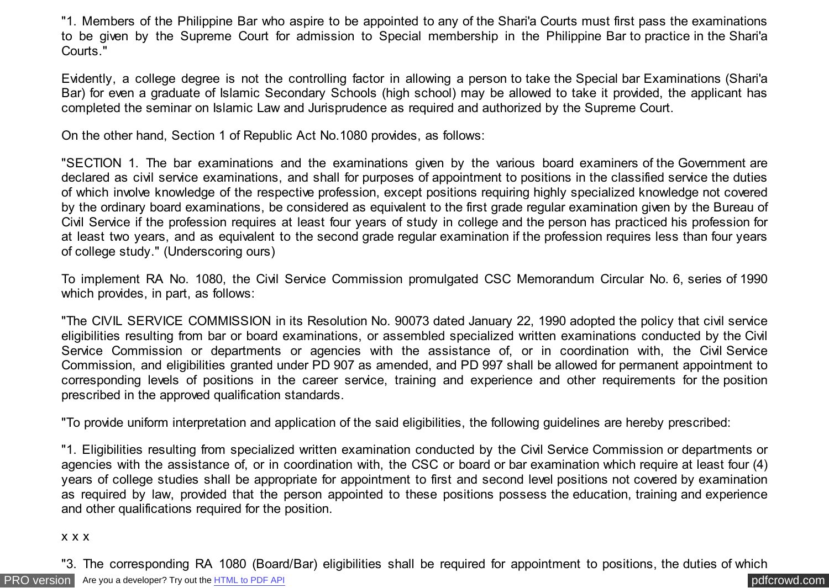"1. Members of the Philippine Bar who aspire to be appointed to any of the Shari'a Courts must first pass the examinations to be given by the Supreme Court for admission to Special membership in the Philippine Bar to practice in the Shari'a Courts."

Evidently, a college degree is not the controlling factor in allowing a person to take the Special bar Examinations (Shari'a Bar) for even a graduate of Islamic Secondary Schools (high school) may be allowed to take it provided, the applicant has completed the seminar on Islamic Law and Jurisprudence as required and authorized by the Supreme Court.

On the other hand, Section 1 of Republic Act No.1080 provides, as follows:

"SECTION 1. The bar examinations and the examinations given by the various board examiners of the Government are declared as civil service examinations, and shall for purposes of appointment to positions in the classified service the duties of which involve knowledge of the respective profession, except positions requiring highly specialized knowledge not covered by the ordinary board examinations, be considered as equivalent to the first grade regular examination given by the Bureau of Civil Service if the profession requires at least four years of study in college and the person has practiced his profession for at least two years, and as equivalent to the second grade regular examination if the profession requires less than four years of college study." (Underscoring ours)

To implement RA No. 1080, the Civil Service Commission promulgated CSC Memorandum Circular No. 6, series of 1990 which provides, in part, as follows:

"The CIVIL SERVICE COMMISSION in its Resolution No. 90073 dated January 22, 1990 adopted the policy that civil service eligibilities resulting from bar or board examinations, or assembled specialized written examinations conducted by the Civil Service Commission or departments or agencies with the assistance of, or in coordination with, the Civil Service Commission, and eligibilities granted under PD 907 as amended, and PD 997 shall be allowed for permanent appointment to corresponding levels of positions in the career service, training and experience and other requirements for the position prescribed in the approved qualification standards.

"To provide uniform interpretation and application of the said eligibilities, the following guidelines are hereby prescribed:

"1. Eligibilities resulting from specialized written examination conducted by the Civil Service Commission or departments or agencies with the assistance of, or in coordination with, the CSC or board or bar examination which require at least four (4) years of college studies shall be appropriate for appointment to first and second level positions not covered by examination as required by law, provided that the person appointed to these positions possess the education, training and experience and other qualifications required for the position.

## x x x

[PRO version](http://pdfcrowd.com/customize/) Are you a developer? Try out th[e HTML to PDF API](http://pdfcrowd.com/html-to-pdf-api/?ref=pdf) provided and the example of the HTML to PDF API posterior and the example of the example of the example of the example of the example of the example of the examp "3. The corresponding RA 1080 (Board/Bar) eligibilities shall be required for appointment to positions, the duties of which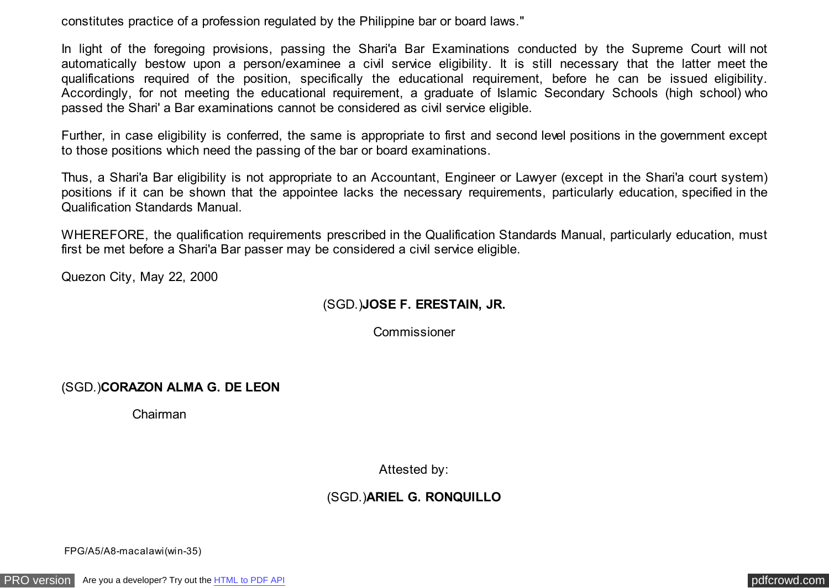constitutes practice of a profession regulated by the Philippine bar or board laws."

In light of the foregoing provisions, passing the Shari'a Bar Examinations conducted by the Supreme Court will not automatically bestow upon a person/examinee a civil service eligibility. It is still necessary that the latter meet the qualifications required of the position, specifically the educational requirement, before he can be issued eligibility. Accordingly, for not meeting the educational requirement, a graduate of Islamic Secondary Schools (high school) who passed the Shari' a Bar examinations cannot be considered as civil service eligible.

Further, in case eligibility is conferred, the same is appropriate to first and second level positions in the government except to those positions which need the passing of the bar or board examinations.

Thus, a Shari'a Bar eligibility is not appropriate to an Accountant, Engineer or Lawyer (except in the Shari'a court system) positions if it can be shown that the appointee lacks the necessary requirements, particularly education, specified in the Qualification Standards Manual.

WHEREFORE, the qualification requirements prescribed in the Qualification Standards Manual, particularly education, must first be met before a Shari'a Bar passer may be considered a civil service eligible.

Quezon City, May 22, 2000

## (SGD.)**JOSE F. ERESTAIN, JR.**

Commissioner

(SGD.)**CORAZON ALMA G. DE LEON**

Chairman

Attested by:

(SGD.)**ARIEL G. RONQUILLO**

FPG/A5/A8-macalawi(win-35)